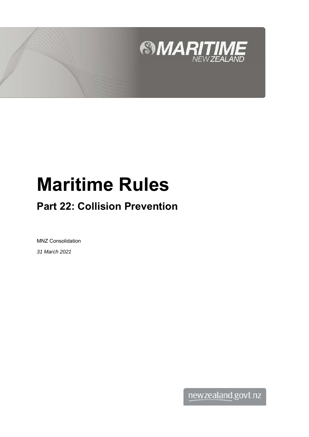

# **Maritime Rules**

## **Part 22: Collision Prevention**

MNZ Consolidation *31 March 2021*

newzealand.govt.nz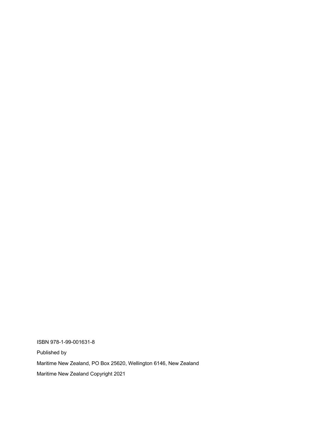ISBN 978-1-99-001631-8 Published by Maritime New Zealand, PO Box 25620, Wellington 6146, New Zealand Maritime New Zealand Copyright 2021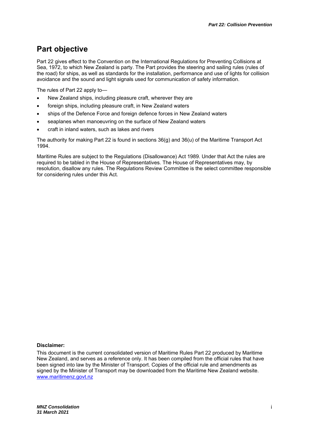## **Part objective**

Part 22 gives effect to the Convention on the International Regulations for Preventing Collisions at Sea, 1972, to which New Zealand is party. The Part provides the steering and sailing rules (rules of the road) for ships, as well as standards for the installation, performance and use of lights for collision avoidance and the sound and light signals used for communication of safety information.

The rules of Part 22 apply to—

- New Zealand ships, including pleasure craft, wherever they are
- foreign ships, including pleasure craft, in New Zealand waters
- ships of the Defence Force and foreign defence forces in New Zealand waters
- seaplanes when manoeuvring on the surface of New Zealand waters
- craft in inland waters, such as lakes and rivers

The authority for making Part 22 is found in sections 36(g) and 36(u) of the Maritime Transport Act 1994.

Maritime Rules are subject to the Regulations (Disallowance) Act 1989. Under that Act the rules are required to be tabled in the House of Representatives. The House of Representatives may, by resolution, disallow any rules. The Regulations Review Committee is the select committee responsible for considering rules under this Act.

#### **Disclaimer:**

This document is the current consolidated version of Maritime Rules Part 22 produced by Maritime New Zealand, and serves as a reference only. It has been compiled from the official rules that have been signed into law by the Minister of Transport. Copies of the official rule and amendments as signed by the Minister of Transport may be downloaded from the Maritime New Zealand website. www.maritimenz.govt.nz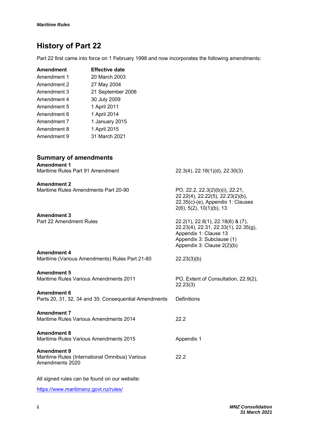## **History of Part 22**

Part 22 first came into force on 1 February 1998 and now incorporates the following amendments:

| <b>Effective date</b> |
|-----------------------|
| 20 March 2003         |
| 27 May 2004           |
| 21 September 2006     |
| 30 July 2009          |
| 1 April 2011          |
| 1 April 2014          |
| 1 January 2015        |
| 1 April 2015          |
| 31 March 2021         |
|                       |

| <b>Summary of amendments</b><br><b>Amendment 1</b>                                      |                                                                                                                                                                          |
|-----------------------------------------------------------------------------------------|--------------------------------------------------------------------------------------------------------------------------------------------------------------------------|
| Maritime Rules Part 91 Amendment                                                        | 22.3(4), 22.18(1)(d), 22.30(3)                                                                                                                                           |
| <b>Amendment 2</b><br>Maritime Rules Amendments Part 20-90                              | PO, 22.2, 22.3(2)(b)(i), 22.21,<br>22.22(4), 22.22(5), 22.23(2)(b),<br>22.35(c)-(e), Appendix 1: Clauses<br>$2(6)$ , 5(2), 10(1)(b), 13                                  |
| <b>Amendment 3</b><br>Part 22 Amendment Rules                                           | $22.2(1)$ , $22.8(1)$ , $22.18(6)$ & $(7)$ ,<br>22.23(4), 22.31, 22.33(1), 22.35(g),<br>Appendix 1: Clause 13<br>Appendix 3: Subclause (1)<br>Appendix 3: Clause 2(2)(b) |
| <b>Amendment 4</b><br>Maritime (Various Amendments) Rules Part 21-80                    | 22.23(3)(b)                                                                                                                                                              |
| <b>Amendment 5</b><br><b>Maritime Rules Various Amendments 2011</b>                     | PO, Extent of Consultation, 22.9(2),<br>22.23(3)                                                                                                                         |
| <b>Amendment 6</b><br>Parts 20, 31, 32, 34 and 35: Consequential Amendments             | <b>Definitions</b>                                                                                                                                                       |
| <b>Amendment 7</b><br>Maritime Rules Various Amendments 2014                            | 22.2                                                                                                                                                                     |
| <b>Amendment 8</b><br><b>Maritime Rules Various Amendments 2015</b>                     | Appendix 1                                                                                                                                                               |
| <b>Amendment 9</b><br>Maritime Rules (International Omnibus) Various<br>Amendments 2020 | 22.2                                                                                                                                                                     |

All signed rules can be found on our website:

https://www.maritimenz.govt.nz/rules/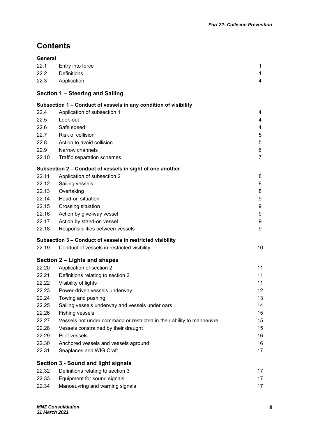## **Contents**

| 22.1<br>Entry into force<br>22.2<br><b>Definitions</b><br>22.3<br>Application<br>Section 1 - Steering and Sailing<br>Subsection 1 - Conduct of vessels in any condition of visibility<br>22.4<br>Application of subsection 1<br>Look-out<br>22.5 | 1<br>1<br>4<br>4<br>4<br>4<br>5<br>5<br>6<br>$\overline{7}$<br>8 |
|--------------------------------------------------------------------------------------------------------------------------------------------------------------------------------------------------------------------------------------------------|------------------------------------------------------------------|
|                                                                                                                                                                                                                                                  |                                                                  |
|                                                                                                                                                                                                                                                  |                                                                  |
|                                                                                                                                                                                                                                                  |                                                                  |
|                                                                                                                                                                                                                                                  |                                                                  |
|                                                                                                                                                                                                                                                  |                                                                  |
|                                                                                                                                                                                                                                                  |                                                                  |
|                                                                                                                                                                                                                                                  |                                                                  |
|                                                                                                                                                                                                                                                  |                                                                  |
| 22.6<br>Safe speed                                                                                                                                                                                                                               |                                                                  |
| Risk of collision<br>22.7                                                                                                                                                                                                                        |                                                                  |
| Action to avoid collision<br>22.8                                                                                                                                                                                                                |                                                                  |
| 22.9<br>Narrow channels                                                                                                                                                                                                                          |                                                                  |
| 22.10<br>Traffic separation schemes                                                                                                                                                                                                              |                                                                  |
| Subsection 2 - Conduct of vessels in sight of one another                                                                                                                                                                                        |                                                                  |
| 22.11<br>Application of subsection 2                                                                                                                                                                                                             |                                                                  |
| 22.12<br>Sailing vessels                                                                                                                                                                                                                         | 8                                                                |
| 22.13<br>Overtaking                                                                                                                                                                                                                              | 8                                                                |
| Head-on situation<br>22.14                                                                                                                                                                                                                       | 9                                                                |
| 22.15<br>Crossing situation                                                                                                                                                                                                                      | 9                                                                |
| 22.16<br>Action by give-way vessel                                                                                                                                                                                                               | 9                                                                |
| 22.17<br>Action by stand-on vessel                                                                                                                                                                                                               | 9                                                                |
| 22.18<br>Responsibilities between vessels                                                                                                                                                                                                        | 9                                                                |
| Subsection 3 - Conduct of vessels in restricted visibility                                                                                                                                                                                       |                                                                  |
| 22.19<br>Conduct of vessels in restricted visibility                                                                                                                                                                                             | 10                                                               |
| Section 2 – Lights and shapes                                                                                                                                                                                                                    |                                                                  |
| Application of section 2<br>22.20                                                                                                                                                                                                                | 11                                                               |
| 22.21<br>Definitions relating to section 2                                                                                                                                                                                                       | 11                                                               |
| 22.22<br>Visibility of lights                                                                                                                                                                                                                    | 11                                                               |
| Power-driven vessels underway<br>22.23                                                                                                                                                                                                           | 12                                                               |
| Towing and pushing<br>22.24                                                                                                                                                                                                                      | 13                                                               |
| 22.25<br>Sailing vessels underway and vessels under oars                                                                                                                                                                                         | 14                                                               |
| 22.26<br>Fishing vessels                                                                                                                                                                                                                         | 15                                                               |
| 22.27<br>Vessels not under command or restricted in their ability to manoeuvre                                                                                                                                                                   | 15                                                               |
| 22.28<br>Vessels constrained by their draught                                                                                                                                                                                                    | 15                                                               |
| Pilot vessels<br>22.29                                                                                                                                                                                                                           | 16                                                               |
| 22.30<br>Anchored vessels and vessels aground                                                                                                                                                                                                    | 16                                                               |
| 22.31<br>Seaplanes and WIG Craft                                                                                                                                                                                                                 | 17                                                               |
| <b>Section 3 - Sound and light signals</b>                                                                                                                                                                                                       |                                                                  |
| 22.32<br>Definitions relating to section 3                                                                                                                                                                                                       | 17                                                               |
| 22.33<br>Equipment for sound signals                                                                                                                                                                                                             | 17                                                               |
| 22.34<br>Manoeuvring and warning signals                                                                                                                                                                                                         | 17                                                               |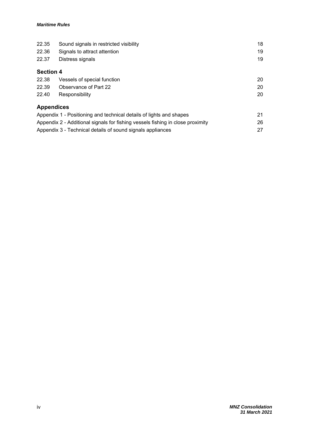| 22.35             | Sound signals in restricted visibility                                         | 18 |
|-------------------|--------------------------------------------------------------------------------|----|
| 22.36             | Signals to attract attention                                                   | 19 |
| 22.37             | Distress signals                                                               | 19 |
| <b>Section 4</b>  |                                                                                |    |
| 22.38             | Vessels of special function                                                    | 20 |
| 22.39             | Observance of Part 22                                                          | 20 |
| 22.40             | Responsibility                                                                 | 20 |
| <b>Appendices</b> |                                                                                |    |
|                   | Appendix 1 - Positioning and technical details of lights and shapes            | 21 |
|                   | Appendix 2 - Additional signals for fishing vessels fishing in close proximity | 26 |
|                   | Appendix 3 - Technical details of sound signals appliances                     | 27 |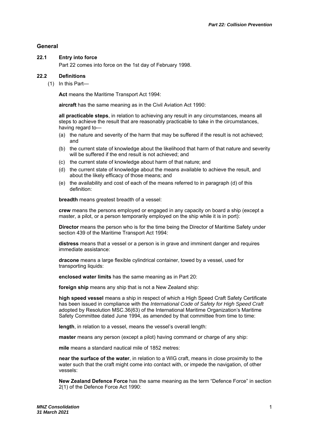#### **General**

#### **22.1 Entry into force**

Part 22 comes into force on the 1st day of February 1998.

#### **22.2 Definitions**

(1) In this Part—

**Act** means the Maritime Transport Act 1994:

**aircraft** has the same meaning as in the Civil Aviation Act 1990:

**all practicable steps**, in relation to achieving any result in any circumstances, means all steps to achieve the result that are reasonably practicable to take in the circumstances, having regard to—

- (a) the nature and severity of the harm that may be suffered if the result is not achieved; and
- (b) the current state of knowledge about the likelihood that harm of that nature and severity will be suffered if the end result is not achieved; and
- (c) the current state of knowledge about harm of that nature; and
- (d) the current state of knowledge about the means available to achieve the result, and about the likely efficacy of those means; and
- (e) the availability and cost of each of the means referred to in paragraph (d) of this definition:

**breadth** means greatest breadth of a vessel:

**crew** means the persons employed or engaged in any capacity on board a ship (except a master, a pilot, or a person temporarily employed on the ship while it is in port):

**Director** means the person who is for the time being the Director of Maritime Safety under section 439 of the Maritime Transport Act 1994:

**distress** means that a vessel or a person is in grave and imminent danger and requires immediate assistance:

**dracone** means a large flexible cylindrical container, towed by a vessel, used for transporting liquids:

**enclosed water limits** has the same meaning as in Part 20:

**foreign ship** means any ship that is not a New Zealand ship:

**high speed vessel** means a ship in respect of which a High Speed Craft Safety Certificate has been issued in compliance with the *International Code of Safety for High Speed Craft* adopted by Resolution MSC.36(63) of the International Maritime Organization's Maritime Safety Committee dated June 1994, as amended by that committee from time to time:

**length**, in relation to a vessel, means the vessel's overall length:

**master** means any person (except a pilot) having command or charge of any ship:

**mile** means a standard nautical mile of 1852 metres:

**near the surface of the water**, in relation to a WIG craft, means in close proximity to the water such that the craft might come into contact with, or impede the navigation, of other vessels:

**New Zealand Defence Force** has the same meaning as the term "Defence Force" in section 2(1) of the Defence Force Act 1990: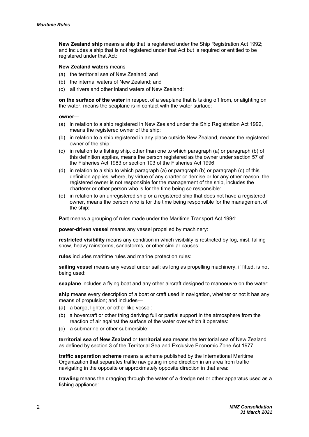**New Zealand ship** means a ship that is registered under the Ship Registration Act 1992; and includes a ship that is not registered under that Act but is required or entitled to be registered under that Act:

#### **New Zealand waters** means—

- (a) the territorial sea of New Zealand; and
- (b) the internal waters of New Zealand; and
- (c) all rivers and other inland waters of New Zealand:

**on the surface of the water** in respect of a seaplane that is taking off from, or alighting on the water, means the seaplane is in contact with the water surface:

#### **owner**—

- (a) in relation to a ship registered in New Zealand under the Ship Registration Act 1992, means the registered owner of the ship:
- (b) in relation to a ship registered in any place outside New Zealand, means the registered owner of the ship:
- (c) in relation to a fishing ship, other than one to which paragraph (a) or paragraph (b) of this definition applies, means the person registered as the owner under section 57 of the Fisheries Act 1983 or section 103 of the Fisheries Act 1996:
- (d) in relation to a ship to which paragraph (a) or paragraph (b) or paragraph (c) of this definition applies, where, by virtue of any charter or demise or for any other reason, the registered owner is not responsible for the management of the ship, includes the charterer or other person who is for the time being so responsible:
- (e) in relation to an unregistered ship or a registered ship that does not have a registered owner, means the person who is for the time being responsible for the management of the ship:

**Part** means a grouping of rules made under the Maritime Transport Act 1994:

**power-driven vessel** means any vessel propelled by machinery:

**restricted visibility** means any condition in which visibility is restricted by fog, mist, falling snow, heavy rainstorms, sandstorms, or other similar causes:

**rules** includes maritime rules and marine protection rules:

**sailing vessel** means any vessel under sail; as long as propelling machinery, if fitted, is not being used:

**seaplane** includes a flying boat and any other aircraft designed to manoeuvre on the water:

**ship** means every description of a boat or craft used in navigation, whether or not it has any means of propulsion; and includes—

- (a) a barge, lighter, or other like vessel:
- (b) a hovercraft or other thing deriving full or partial support in the atmosphere from the reaction of air against the surface of the water over which it operates:
- (c) a submarine or other submersible:

**territorial sea of New Zealand** or **territorial sea** means the territorial sea of New Zealand as defined by section 3 of the Territorial Sea and Exclusive Economic Zone Act 1977:

**traffic separation scheme** means a scheme published by the International Maritime Organization that separates traffic navigating in one direction in an area from traffic navigating in the opposite or approximately opposite direction in that area:

**trawling** means the dragging through the water of a dredge net or other apparatus used as a fishing appliance: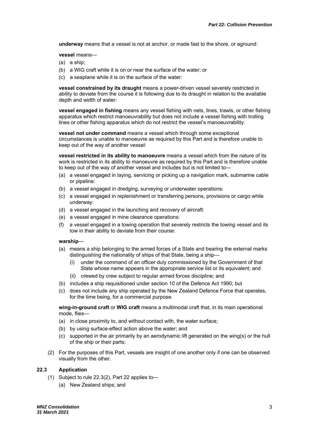**underway** means that a vessel is not at anchor, or made fast to the shore, or aground:

**vessel** means—

- (a) a ship;
- (b) a WIG craft while it is on or near the surface of the water; or
- (c) a seaplane while it is on the surface of the water:

**vessel constrained by its draught** means a power-driven vessel severely restricted in ability to deviate from the course it is following due to its draught in relation to the available depth and width of water:

**vessel engaged in fishing** means any vessel fishing with nets, lines, trawls, or other fishing apparatus which restrict manoeuvrability but does not include a vessel fishing with trolling lines or other fishing apparatus which do not restrict the vessel's manoeuvrability:

**vessel not under command** means a vessel which through some exceptional circumstances is unable to manoeuvre as required by this Part and is therefore unable to keep out of the way of another vessel:

**vessel restricted in its ability to manoeuvre** means a vessel which from the nature of its work is restricted in its ability to manoeuvre as required by this Part and is therefore unable to keep out of the way of another vessel and includes but is not limited to—

- (a) a vessel engaged in laying, servicing or picking up a navigation mark, submarine cable or pipeline:
- (b) a vessel engaged in dredging, surveying or underwater operations:
- (c) a vessel engaged in replenishment or transferring persons, provisions or cargo while underway:
- (d) a vessel engaged in the launching and recovery of aircraft:
- (e) a vessel engaged in mine clearance operations:
- (f) a vessel engaged in a towing operation that severely restricts the towing vessel and its tow in their ability to deviate from their course:

#### **warship**—

- (a) means a ship belonging to the armed forces of a State and bearing the external marks distinguishing the nationality of ships of that State, being a ship—
	- (i) under the command of an officer duly commissioned by the Government of that State whose name appears in the appropriate service list or its equivalent; and
	- (ii) crewed by crew subject to regular armed forces discipline; and
- (b) includes a ship requisitioned under section 10 of the Defence Act 1990; but
- (c) does not include any ship operated by the New Zealand Defence Force that operates, for the time being, for a commercial purpose.

**wing-in-ground craft** or **WIG craft** means a multimodal craft that, in its main operational mode, flies—

- (a) in close proximity to, and without contact with, the water surface;
- (b) by using surface-effect action above the water; and
- (c) supported in the air primarily by an aerodynamic lift generated on the wing(s) or the hull of the ship or their parts:
- (2) For the purposes of this Part, vessels are insight of one another only if one can be observed visually from the other.

#### **22.3 Application**

- (1) Subject to rule 22.3(2), Part 22 applies to—
	- (a) New Zealand ships; and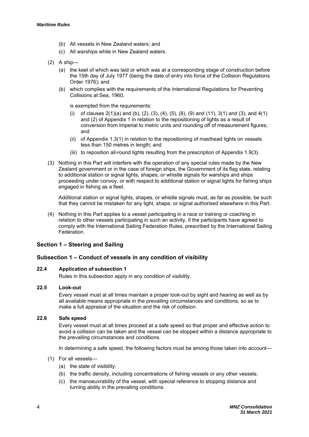- (b) All vessels in New Zealand waters; and
- (c) All warships while in New Zealand waters.
- (2) A ship—
	- (a) the keel of which was laid or which was at a corresponding stage of construction before the 15th day of July 1977 (being the date of entry into force of the Collision Regulations Order 1976); and
	- (b) which complies with the requirements of the International Regulations for Preventing Collisions at Sea, 1960,

is exempted from the requirements:

- of clauses  $2(1)(a)$  and (b), (2), (3), (4), (5), (8), (9) and (11), 3(1) and (3), and 4(1) and (2) of Appendix 1 in relation to the repositioning of lights as a result of conversion from Imperial to metric units and rounding off of measurement figures; and
- (ii) of Appendix 1.3(1) in relation to the repositioning of masthead lights on vessels less than 150 metres in length; and
- (iii) to reposition all-round lights resulting from the prescription of Appendix 1.9(3).
- (3) Nothing in this Part will interfere with the operation of any special rules made by the New Zealand government or in the case of foreign ships, the Government of its flag state, relating to additional station or signal lights, shapes, or whistle signals for warships and ships proceeding under convoy, or with respect to additional station or signal lights for fishing ships engaged in fishing as a fleet.

Additional station or signal lights, shapes, or whistle signals must, as far as possible, be such that they cannot be mistaken for any light, shape, or signal authorised elsewhere in this Part.

(4) Nothing in this Part applies to a vessel participating in a race or training or coaching in relation to other vessels participating in such an activity, if the participants have agreed to comply with the International Sailing Federation Rules, prescribed by the International Sailing **Federation** 

#### **Section 1 – Steering and Sailing**

#### **Subsection 1 – Conduct of vessels in any condition of visibility**

#### **22.4 Application of subsection 1**

Rules in this subsection apply in any condition of visibility.

#### **22.5 Look-out**

Every vessel must at all times maintain a proper look-out by sight and hearing as well as by all available means appropriate in the prevailing circumstances and conditions, so as to make a full appraisal of the situation and the risk of collision.

#### **22.6 Safe speed**

Every vessel must at all times proceed at a safe speed so that proper and effective action to avoid a collision can be taken and the vessel can be stopped within a distance appropriate to the prevailing circumstances and conditions.

In determining a safe speed, the following factors must be among those taken into account—

- (1) For all vessels—
	- (a) the state of visibility:
	- (b) the traffic density, including concentrations of fishing vessels or any other vessels:
	- (c) the manoeuvrability of the vessel, with special reference to stopping distance and turning ability in the prevailing conditions: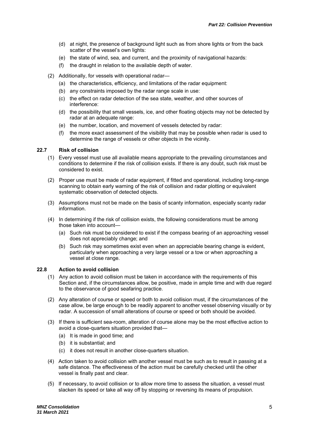- (d) at night, the presence of background light such as from shore lights or from the back scatter of the vessel's own lights:
- (e) the state of wind, sea, and current, and the proximity of navigational hazards:
- (f) the draught in relation to the available depth of water.
- (2) Additionally, for vessels with operational radar—
	- (a) the characteristics, efficiency, and limitations of the radar equipment:
	- (b) any constraints imposed by the radar range scale in use:
	- (c) the effect on radar detection of the sea state, weather, and other sources of interference:
	- (d) the possibility that small vessels, ice, and other floating objects may not be detected by radar at an adequate range:
	- (e) the number, location, and movement of vessels detected by radar:
	- (f) the more exact assessment of the visibility that may be possible when radar is used to determine the range of vessels or other objects in the vicinity.

#### **22.7 Risk of collision**

- (1) Every vessel must use all available means appropriate to the prevailing circumstances and conditions to determine if the risk of collision exists. If there is any doubt, such risk must be considered to exist.
- (2) Proper use must be made of radar equipment, if fitted and operational, including long-range scanning to obtain early warning of the risk of collision and radar plotting or equivalent systematic observation of detected objects.
- (3) Assumptions must not be made on the basis of scanty information, especially scanty radar information.
- (4) In determining if the risk of collision exists, the following considerations must be among those taken into account—
	- (a) Such risk must be considered to exist if the compass bearing of an approaching vessel does not appreciably change; and
	- (b) Such risk may sometimes exist even when an appreciable bearing change is evident, particularly when approaching a very large vessel or a tow or when approaching a vessel at close range.

#### **22.8 Action to avoid collision**

- (1) Any action to avoid collision must be taken in accordance with the requirements of this Section and, if the circumstances allow, be positive, made in ample time and with due regard to the observance of good seafaring practice.
- (2) Any alteration of course or speed or both to avoid collision must, if the circumstances of the case allow, be large enough to be readily apparent to another vessel observing visually or by radar. A succession of small alterations of course or speed or both should be avoided.
- (3) If there is sufficient sea-room, alteration of course alone may be the most effective action to avoid a close-quarters situation provided that—
	- (a) It is made in good time; and
	- (b) it is substantial; and
	- (c) it does not result in another close-quarters situation.
- (4) Action taken to avoid collision with another vessel must be such as to result in passing at a safe distance. The effectiveness of the action must be carefully checked until the other vessel is finally past and clear.
- (5) If necessary, to avoid collision or to allow more time to assess the situation, a vessel must slacken its speed or take all way off by stopping or reversing its means of propulsion.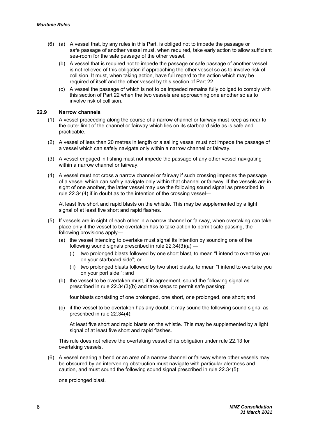- (6) (a) A vessel that, by any rules in this Part, is obliged not to impede the passage or safe passage of another vessel must, when required, take early action to allow sufficient sea-room for the safe passage of the other vessel.
	- (b) A vessel that is required not to impede the passage or safe passage of another vessel is not relieved of this obligation if approaching the other vessel so as to involve risk of collision. It must, when taking action, have full regard to the action which may be required of itself and the other vessel by this section of Part 22.
	- (c) A vessel the passage of which is not to be impeded remains fully obliged to comply with this section of Part 22 when the two vessels are approaching one another so as to involve risk of collision.

#### **22.9 Narrow channels**

- (1) A vessel proceeding along the course of a narrow channel or fairway must keep as near to the outer limit of the channel or fairway which lies on its starboard side as is safe and practicable.
- (2) A vessel of less than 20 metres in length or a sailing vessel must not impede the passage of a vessel which can safely navigate only within a narrow channel or fairway.
- (3) A vessel engaged in fishing must not impede the passage of any other vessel navigating within a narrow channel or fairway.
- (4) A vessel must not cross a narrow channel or fairway if such crossing impedes the passage of a vessel which can safely navigate only within that channel or fairway. If the vessels are in sight of one another, the latter vessel may use the following sound signal as prescribed in rule 22.34(4) if in doubt as to the intention of the crossing vessel—

At least five short and rapid blasts on the whistle. This may be supplemented by a light signal of at least five short and rapid flashes.

- (5) If vessels are in sight of each other in a narrow channel or fairway, when overtaking can take place only if the vessel to be overtaken has to take action to permit safe passing, the following provisions apply—
	- (a) the vessel intending to overtake must signal its intention by sounding one of the following sound signals prescribed in rule 22.34(3)(a) —
		- (i) two prolonged blasts followed by one short blast, to mean "I intend to overtake you on your starboard side"; or
		- (ii) two prolonged blasts followed by two short blasts, to mean "I intend to overtake you on your port side."; and
	- (b) the vessel to be overtaken must, if in agreement, sound the following signal as prescribed in rule 22.34(3)(b) and take steps to permit safe passing:

four blasts consisting of one prolonged, one short, one prolonged, one short; and

(c) if the vessel to be overtaken has any doubt, it may sound the following sound signal as prescribed in rule 22.34(4):

At least five short and rapid blasts on the whistle. This may be supplemented by a light signal of at least five short and rapid flashes.

This rule does not relieve the overtaking vessel of its obligation under rule 22.13 for overtaking vessels.

(6) A vessel nearing a bend or an area of a narrow channel or fairway where other vessels may be obscured by an intervening obstruction must navigate with particular alertness and caution, and must sound the following sound signal prescribed in rule 22.34(5):

one prolonged blast.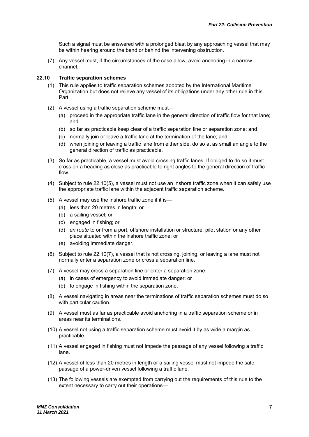Such a signal must be answered with a prolonged blast by any approaching vessel that may be within hearing around the bend or behind the intervening obstruction.

(7) Any vessel must, if the circumstances of the case allow, avoid anchoring in a narrow channel.

#### **22.10 Traffic separation schemes**

- (1) This rule applies to traffic separation schemes adopted by the International Maritime Organization but does not relieve any vessel of its obligations under any other rule in this Part.
- (2) A vessel using a traffic separation scheme must—
	- (a) proceed in the appropriate traffic lane in the general direction of traffic flow for that lane; and
	- (b) so far as practicable keep clear of a traffic separation line or separation zone; and
	- (c) normally join or leave a traffic lane at the termination of the lane; and
	- (d) when joining or leaving a traffic lane from either side, do so at as small an angle to the general direction of traffic as practicable.
- (3) So far as practicable, a vessel must avoid crossing traffic lanes. If obliged to do so it must cross on a heading as close as practicable to right angles to the general direction of traffic flow.
- (4) Subject to rule 22.10(5), a vessel must not use an inshore traffic zone when it can safely use the appropriate traffic lane within the adjacent traffic separation scheme.
- (5) A vessel may use the inshore traffic zone if it is—
	- (a) less than 20 metres in length; or
	- (b) a sailing vessel; or
	- (c) engaged in fishing; or
	- (d) *en route* to or from a port, offshore installation or structure, pilot station or any other place situated within the inshore traffic zone; or
	- (e) avoiding immediate danger.
- (6) Subject to rule 22.10(7), a vessel that is not crossing, joining, or leaving a lane must not normally enter a separation zone or cross a separation line.
- (7) A vessel may cross a separation line or enter a separation zone—
	- (a) in cases of emergency to avoid immediate danger; or
	- (b) to engage in fishing within the separation zone.
- (8) A vessel navigating in areas near the terminations of traffic separation schemes must do so with particular caution.
- (9) A vessel must as far as practicable avoid anchoring in a traffic separation scheme or in areas near its terminations.
- (10) A vessel not using a traffic separation scheme must avoid it by as wide a margin as practicable.
- (11) A vessel engaged in fishing must not impede the passage of any vessel following a traffic lane.
- (12) A vessel of less than 20 metres in length or a sailing vessel must not impede the safe passage of a power-driven vessel following a traffic lane.
- (13) The following vessels are exempted from carrying out the requirements of this rule to the extent necessary to carry out their operations—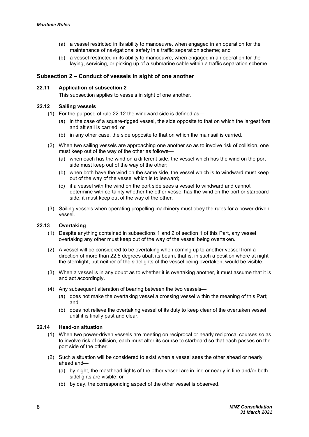- (a) a vessel restricted in its ability to manoeuvre, when engaged in an operation for the maintenance of navigational safety in a traffic separation scheme; and
- (b) a vessel restricted in its ability to manoeuvre, when engaged in an operation for the laying, servicing, or picking up of a submarine cable within a traffic separation scheme.

#### **Subsection 2 – Conduct of vessels in sight of one another**

#### **22.11 Application of subsection 2**

This subsection applies to vessels in sight of one another.

#### **22.12 Sailing vessels**

- (1) For the purpose of rule 22.12 the windward side is defined as—
	- (a) in the case of a square-rigged vessel, the side opposite to that on which the largest fore and aft sail is carried; or
	- (b) in any other case, the side opposite to that on which the mainsail is carried.
- (2) When two sailing vessels are approaching one another so as to involve risk of collision, one must keep out of the way of the other as follows—
	- (a) when each has the wind on a different side, the vessel which has the wind on the port side must keep out of the way of the other;
	- (b) when both have the wind on the same side, the vessel which is to windward must keep out of the way of the vessel which is to leeward;
	- (c) if a vessel with the wind on the port side sees a vessel to windward and cannot determine with certainty whether the other vessel has the wind on the port or starboard side, it must keep out of the way of the other.
- (3) Sailing vessels when operating propelling machinery must obey the rules for a power-driven vessel.

#### **22.13 Overtaking**

- (1) Despite anything contained in subsections 1 and 2 of section 1 of this Part, any vessel overtaking any other must keep out of the way of the vessel being overtaken.
- (2) A vessel will be considered to be overtaking when coming up to another vessel from a direction of more than 22.5 degrees abaft its beam, that is, in such a position where at night the sternlight, but neither of the sidelights of the vessel being overtaken, would be visible.
- (3) When a vessel is in any doubt as to whether it is overtaking another, it must assume that it is and act accordingly.
- (4) Any subsequent alteration of bearing between the two vessels—
	- (a) does not make the overtaking vessel a crossing vessel within the meaning of this Part; and
	- (b) does not relieve the overtaking vessel of its duty to keep clear of the overtaken vessel until it is finally past and clear.

#### **22.14 Head-on situation**

- (1) When two power-driven vessels are meeting on reciprocal or nearly reciprocal courses so as to involve risk of collision, each must alter its course to starboard so that each passes on the port side of the other.
- (2) Such a situation will be considered to exist when a vessel sees the other ahead or nearly ahead and—
	- (a) by night, the masthead lights of the other vessel are in line or nearly in line and/or both sidelights are visible; or
	- (b) by day, the corresponding aspect of the other vessel is observed.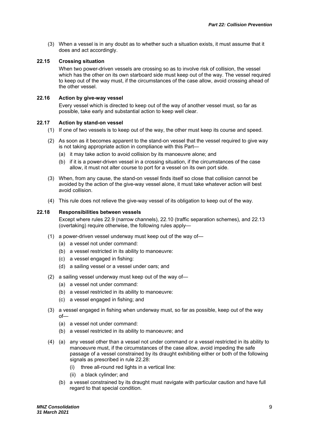(3) When a vessel is in any doubt as to whether such a situation exists, it must assume that it does and act accordingly.

#### **22.15 Crossing situation**

When two power-driven vessels are crossing so as to involve risk of collision, the vessel which has the other on its own starboard side must keep out of the way. The vessel required to keep out of the way must, if the circumstances of the case allow, avoid crossing ahead of the other vessel.

#### **22.16 Action by give-way vessel**

Every vessel which is directed to keep out of the way of another vessel must, so far as possible, take early and substantial action to keep well clear.

#### **22.17 Action by stand-on vessel**

- (1) If one of two vessels is to keep out of the way, the other must keep its course and speed.
- (2) As soon as it becomes apparent to the stand-on vessel that the vessel required to give way is not taking appropriate action in compliance with this Part—
	- (a) it may take action to avoid collision by its manoeuvre alone; and
	- (b) if it is a power-driven vessel in a crossing situation, if the circumstances of the case allow, it must not alter course to port for a vessel on its own port side.
- (3) When, from any cause, the stand-on vessel finds itself so close that collision cannot be avoided by the action of the give-way vessel alone, it must take whatever action will best avoid collision.
- (4) This rule does not relieve the give-way vessel of its obligation to keep out of the way.

#### **22.18 Responsibilities between vessels**

Except where rules 22.9 (narrow channels), 22.10 (traffic separation schemes), and 22.13 (overtaking) require otherwise, the following rules apply—

- (1) a power-driven vessel underway must keep out of the way of—
	- (a) a vessel not under command:
	- (b) a vessel restricted in its ability to manoeuvre:
	- (c) a vessel engaged in fishing:
	- (d) a sailing vessel or a vessel under oars; and
- (2) a sailing vessel underway must keep out of the way of—
	- (a) a vessel not under command:
	- (b) a vessel restricted in its ability to manoeuvre:
	- (c) a vessel engaged in fishing; and
- (3) a vessel engaged in fishing when underway must, so far as possible, keep out of the way of—
	- (a) a vessel not under command:
	- (b) a vessel restricted in its ability to manoeuvre; and
- (4) (a) any vessel other than a vessel not under command or a vessel restricted in its ability to manoeuvre must, if the circumstances of the case allow, avoid impeding the safe passage of a vessel constrained by its draught exhibiting either or both of the following signals as prescribed in rule 22.28:
	- (i) three all-round red lights in a vertical line:
	- (ii) a black cylinder; and
	- (b) a vessel constrained by its draught must navigate with particular caution and have full regard to that special condition.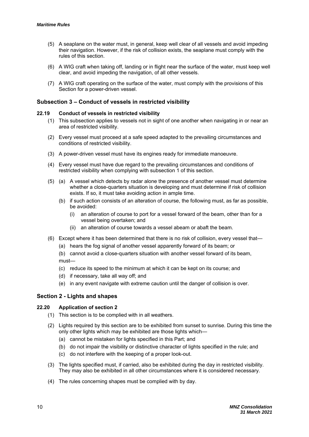- (5) A seaplane on the water must, in general, keep well clear of all vessels and avoid impeding their navigation. However, if the risk of collision exists, the seaplane must comply with the rules of this section.
- (6) A WIG craft when taking off, landing or in flight near the surface of the water, must keep well clear, and avoid impeding the navigation, of all other vessels.
- (7) A WIG craft operating on the surface of the water, must comply with the provisions of this Section for a power-driven vessel.

#### **Subsection 3 – Conduct of vessels in restricted visibility**

#### **22.19 Conduct of vessels in restricted visibility**

- (1) This subsection applies to vessels not in sight of one another when navigating in or near an area of restricted visibility.
- (2) Every vessel must proceed at a safe speed adapted to the prevailing circumstances and conditions of restricted visibility.
- (3) A power-driven vessel must have its engines ready for immediate manoeuvre.
- (4) Every vessel must have due regard to the prevailing circumstances and conditions of restricted visibility when complying with subsection 1 of this section.
- (5) (a) A vessel which detects by radar alone the presence of another vessel must determine whether a close-quarters situation is developing and must determine if risk of collision exists. If so, it must take avoiding action in ample time.
	- (b) if such action consists of an alteration of course, the following must, as far as possible, be avoided:
		- (i) an alteration of course to port for a vessel forward of the beam, other than for a vessel being overtaken; and
		- (ii) an alteration of course towards a vessel abeam or abaft the beam.
- (6) Except where it has been determined that there is no risk of collision, every vessel that—
	- (a) hears the fog signal of another vessel apparently forward of its beam; or

(b) cannot avoid a close-quarters situation with another vessel forward of its beam, must—

- (c) reduce its speed to the minimum at which it can be kept on its course; and
- (d) if necessary, take all way off; and
- (e) in any event navigate with extreme caution until the danger of collision is over.

#### **Section 2 - Lights and shapes**

#### **22.20 Application of section 2**

- (1) This section is to be complied with in all weathers.
- (2) Lights required by this section are to be exhibited from sunset to sunrise. During this time the only other lights which may be exhibited are those lights which—
	- (a) cannot be mistaken for lights specified in this Part; and
	- (b) do not impair the visibility or distinctive character of lights specified in the rule; and
	- (c) do not interfere with the keeping of a proper look-out.
- (3) The lights specified must, if carried, also be exhibited during the day in restricted visibility. They may also be exhibited in all other circumstances where it is considered necessary.
- (4) The rules concerning shapes must be complied with by day.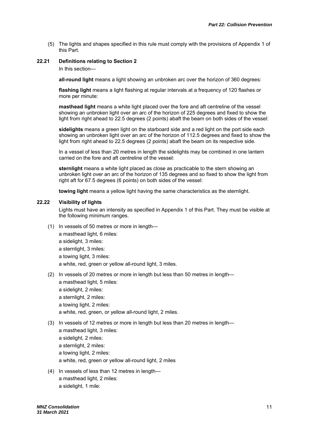(5) The lights and shapes specified in this rule must comply with the provisions of Appendix 1 of this Part.

#### **22.21 Definitions relating to Section 2**

In this section—

**all-round light** means a light showing an unbroken arc over the horizon of 360 degrees:

**flashing light** means a light flashing at regular intervals at a frequency of 120 flashes or more per minute:

**masthead light** means a white light placed over the fore and aft centreline of the vessel showing an unbroken light over an arc of the horizon of 225 degrees and fixed to show the light from right ahead to 22.5 degrees (2 points) abaft the beam on both sides of the vessel:

**sidelights** means a green light on the starboard side and a red light on the port side each showing an unbroken light over an arc of the horizon of 112.5 degrees and fixed to show the light from right ahead to 22.5 degrees (2 points) abaft the beam on its respective side.

In a vessel of less than 20 metres in length the sidelights may be combined in one lantern carried on the fore and aft centreline of the vessel:

**sternlight** means a white light placed as close as practicable to the stern showing an unbroken light over an arc of the horizon of 135 degrees and so fixed to show the light from right aft for 67.5 degrees (6 points) on both sides of the vessel:

**towing light** means a yellow light having the same characteristics as the sternlight.

#### **22.22 Visibility of lights**

Lights must have an intensity as specified in Appendix 1 of this Part. They must be visible at the following minimum ranges.

(1) In vessels of 50 metres or more in length—

a masthead light, 6 miles:

- a sidelight, 3 miles:
- a sternlight, 3 miles:
- a towing light, 3 miles:

a white, red, green or yellow all-round light, 3 miles.

(2) In vessels of 20 metres or more in length but less than 50 metres in length—

a masthead light, 5 miles:

a sidelight, 2 miles:

a sternlight, 2 miles:

a towing light, 2 miles:

a white, red, green, or yellow all-round light, 2 miles.

- (3) In vessels of 12 metres or more in length but less than 20 metres in length
	- a masthead light, 3 miles:
	- a sidelight, 2 miles:
	- a sternlight, 2 miles:

a towing light, 2 miles:

- a white, red, green or yellow all-round light, 2 miles
- (4) In vessels of less than 12 metres in length a masthead light, 2 miles: a sidelight, 1 mile: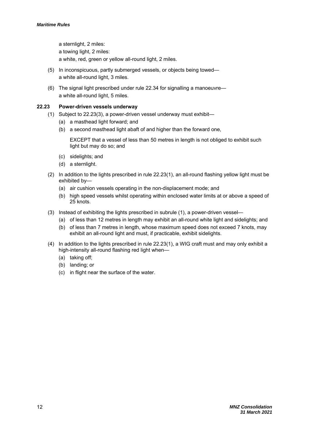a sternlight, 2 miles: a towing light, 2 miles: a white, red, green or yellow all-round light, 2 miles.

- (5) In inconspicuous, partly submerged vessels, or objects being towed a white all-round light, 3 miles.
- (6) The signal light prescribed under rule 22.34 for signalling a manoeuvre a white all-round light, 5 miles.

#### **22.23 Power-driven vessels underway**

- (1) Subject to 22.23(3), a power-driven vessel underway must exhibit—
	- (a) a masthead light forward; and
	- (b) a second masthead light abaft of and higher than the forward one,

EXCEPT that a vessel of less than 50 metres in length is not obliged to exhibit such light but may do so; and

- (c) sidelights; and
- (d) a sternlight.
- (2) In addition to the lights prescribed in rule 22.23(1), an all-round flashing yellow light must be exhibited by—
	- (a) air cushion vessels operating in the non-displacement mode; and
	- (b) high speed vessels whilst operating within enclosed water limits at or above a speed of 25 knots.
- (3) Instead of exhibiting the lights prescribed in subrule (1), a power-driven vessel—
	- (a) of less than 12 metres in length may exhibit an all-round white light and sidelights; and
	- (b) of less than 7 metres in length, whose maximum speed does not exceed 7 knots, may exhibit an all-round light and must, if practicable, exhibit sidelights.
- (4) In addition to the lights prescribed in rule 22.23(1), a WIG craft must and may only exhibit a high-intensity all-round flashing red light when—
	- (a) taking off;
	- (b) landing; or
	- (c) in flight near the surface of the water.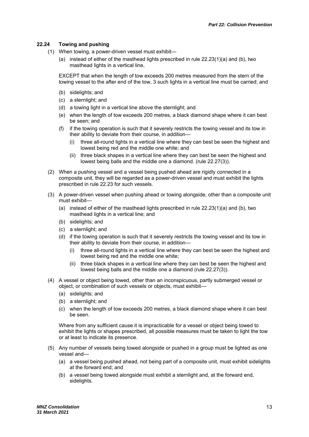#### **22.24 Towing and pushing**

- (1) When towing, a power-driven vessel must exhibit—
	- (a) instead of either of the masthead lights prescribed in rule 22.23(1)(a) and (b), two masthead lights in a vertical line,

EXCEPT that when the length of tow exceeds 200 metres measured from the stern of the towing vessel to the after end of the tow, 3 such lights in a vertical line must be carried; and

- (b) sidelights; and
- (c) a sternlight; and
- (d) a towing light in a vertical line above the sternlight; and
- (e) when the length of tow exceeds 200 metres, a black diamond shape where it can best be seen; and
- (f) if the towing operation is such that it severely restricts the towing vessel and its tow in their ability to deviate from their course, in addition—
	- (i) three all-round lights in a vertical line where they can best be seen the highest and lowest being red and the middle one white; and
	- (ii) three black shapes in a vertical line where they can best be seen the highest and lowest being balls and the middle one a diamond. (rule 22.27(3)).
- (2) When a pushing vessel and a vessel being pushed ahead are rigidly connected in a composite unit, they will be regarded as a power-driven vessel and must exhibit the lights prescribed in rule 22.23 for such vessels.
- (3) A power-driven vessel when pushing ahead or towing alongside, other than a composite unit must exhibit—
	- (a) instead of either of the masthead lights prescribed in rule 22.23(1)(a) and (b), two masthead lights in a vertical line; and
	- (b) sidelights; and
	- (c) a sternlight; and
	- (d) if the towing operation is such that it severely restricts the towing vessel and its tow in their ability to deviate from their course, in addition—
		- (i) three all-round lights in a vertical line where they can best be seen the highest and lowest being red and the middle one white;
		- (ii) three black shapes in a vertical line where they can best be seen the highest and lowest being balls and the middle one a diamond (rule 22.27(3)).
- (4) A vessel or object being towed, other than an inconspicuous, partly submerged vessel or object, or combination of such vessels or objects, must exhibit—
	- (a) sidelights; and
	- (b) a sternlight; and
	- (c) when the length of tow exceeds 200 metres, a black diamond shape where it can best be seen.

Where from any sufficient cause it is impracticable for a vessel or object being towed to exhibit the lights or shapes prescribed, all possible measures must be taken to light the tow or at least to indicate its presence.

- (5) Any number of vessels being towed alongside or pushed in a group must be lighted as one vessel and—
	- (a) a vessel being pushed ahead, not being part of a composite unit, must exhibit sidelights at the forward end; and
	- (b) a vessel being towed alongside must exhibit a sternlight and, at the forward end, sidelights.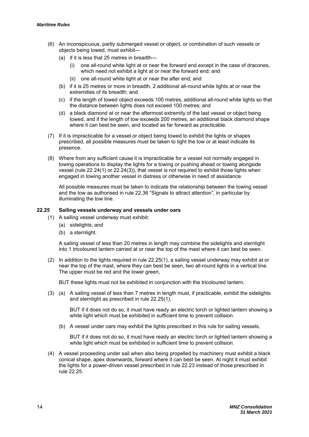- (6) An inconspicuous, partly submerged vessel or object, or combination of such vessels or objects being towed, must exhibit—
	- (a) if it is less that 25 metres in breadth
		- one all-round white light at or near the forward end except in the case of dracones, which need not exhibit a light at or near the forward end; and
		- (ii) one all-round white light at or near the after end; and
	- (b) if it is 25 metres or more in breadth, 2 additional all-round white lights at or near the extremities of its breadth; and
	- (c) if the length of towed object exceeds 100 metres, additional all-round white lights so that the distance between lights does not exceed 100 metres; and
	- (d) a black diamond at or near the aftermost extremity of the last vessel or object being towed, and if the length of tow exceeds 200 metres, an additional black diamond shape where it can best be seen, and located as far forward as practicable.
- (7) If it is impracticable for a vessel or object being towed to exhibit the lights or shapes prescribed, all possible measures must be taken to light the tow or at least indicate its presence.
- (8) Where from any sufficient cause it is impracticable for a vessel not normally engaged in towing operations to display the lights for a towing or pushing ahead or towing alongside vessel (rule 22.24(1) or 22.24(3)), that vessel is not required to exhibit those lights when engaged in towing another vessel in distress or otherwise in need of assistance.

All possible measures must be taken to indicate the relationship between the towing vessel and the tow as authorised in rule 22.36 "Signals to attract attention", in particular by illuminating the tow line.

#### **22.25 Sailing vessels underway and vessels under oars**

- (1) A sailing vessel underway must exhibit:
	- (a) sidelights; and
	- (b) a sternlight.

A sailing vessel of less than 20 metres in length may combine the sidelights and sternlight into 1 tricoloured lantern carried at or near the top of the mast where it can best be seen.

(2) In addition to the lights required in rule 22.25(1), a sailing vessel underway may exhibit at or near the top of the mast, where they can best be seen, two all-round lights in a vertical line. The upper must be red and the lower green,

BUT these lights must not be exhibited in conjunction with the tricoloured lantern.

(3) (a) A sailing vessel of less than 7 metres in length must, if practicable, exhibit the sidelights and sternlight as prescribed in rule 22.25(1),

BUT if it does not do so, it must have ready an electric torch or lighted lantern showing a white light which must be exhibited in sufficient time to prevent collision.

(b) A vessel under oars may exhibit the lights prescribed in this rule for sailing vessels,

BUT if it does not do so, it must have ready an electric torch or lighted lantern showing a white light which must be exhibited in sufficient time to prevent collision.

(4) A vessel proceeding under sail when also being propelled by machinery must exhibit a black conical shape, apex downwards, forward where it can best be seen. At night it must exhibit the lights for a power-driven vessel prescribed in rule 22.23 instead of those prescribed in rule 22.25.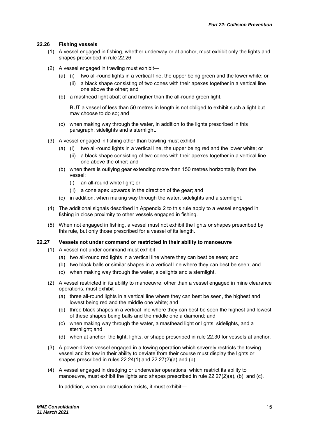#### **22.26 Fishing vessels**

- (1) A vessel engaged in fishing, whether underway or at anchor, must exhibit only the lights and shapes prescribed in rule 22.26.
- (2) A vessel engaged in trawling must exhibit—
	- (a) (i) two all-round lights in a vertical line, the upper being green and the lower white; or
		- (ii) a black shape consisting of two cones with their apexes together in a vertical line one above the other; and
	- (b) a masthead light abaft of and higher than the all-round green light,

BUT a vessel of less than 50 metres in length is not obliged to exhibit such a light but may choose to do so; and

- (c) when making way through the water, in addition to the lights prescribed in this paragraph, sidelights and a sternlight.
- (3) A vessel engaged in fishing other than trawling must exhibit—
	- (a) (i) two all-round lights in a vertical line, the upper being red and the lower white; or
		- (ii) a black shape consisting of two cones with their apexes together in a vertical line one above the other; and
	- (b) when there is outlying gear extending more than 150 metres horizontally from the vessel:
		- (i) an all-round white light; or
		- (ii) a cone apex upwards in the direction of the gear; and
	- (c) in addition, when making way through the water, sidelights and a sternlight.
- (4) The additional signals described in Appendix 2 to this rule apply to a vessel engaged in fishing in close proximity to other vessels engaged in fishing.
- (5) When not engaged in fishing, a vessel must not exhibit the lights or shapes prescribed by this rule, but only those prescribed for a vessel of its length.

#### **22.27 Vessels not under command or restricted in their ability to manoeuvre**

- (1) A vessel not under command must exhibit—
	- (a) two all-round red lights in a vertical line where they can best be seen; and
	- (b) two black balls or similar shapes in a vertical line where they can best be seen; and
	- (c) when making way through the water, sidelights and a sternlight.
- (2) A vessel restricted in its ability to manoeuvre, other than a vessel engaged in mine clearance operations, must exhibit—
	- (a) three all-round lights in a vertical line where they can best be seen, the highest and lowest being red and the middle one white; and
	- (b) three black shapes in a vertical line where they can best be seen the highest and lowest of these shapes being balls and the middle one a diamond; and
	- (c) when making way through the water, a masthead light or lights, sidelights, and a sternlight; and
	- (d) when at anchor, the light, lights, or shape prescribed in rule 22.30 for vessels at anchor.
- (3) A power-driven vessel engaged in a towing operation which severely restricts the towing vessel and its tow in their ability to deviate from their course must display the lights or shapes prescribed in rules 22.24(1) and 22.27(2)(a) and (b).
- (4) A vessel engaged in dredging or underwater operations, which restrict its ability to manoeuvre, must exhibit the lights and shapes prescribed in rule 22.27(2)(a), (b), and (c).

In addition, when an obstruction exists, it must exhibit—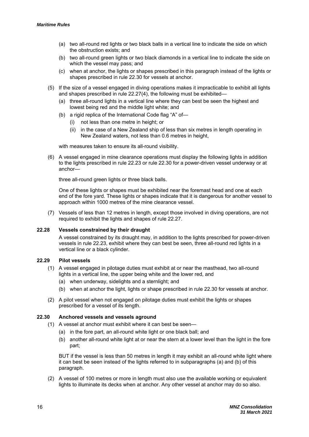- (a) two all-round red lights or two black balls in a vertical line to indicate the side on which the obstruction exists; and
- (b) two all-round green lights or two black diamonds in a vertical line to indicate the side on which the vessel may pass; and
- (c) when at anchor, the lights or shapes prescribed in this paragraph instead of the lights or shapes prescribed in rule 22.30 for vessels at anchor.
- (5) If the size of a vessel engaged in diving operations makes it impracticable to exhibit all lights and shapes prescribed in rule 22.27(4), the following must be exhibited—
	- (a) three all-round lights in a vertical line where they can best be seen the highest and lowest being red and the middle light white; and
	- (b) a rigid replica of the International Code flag "A" of—
		- (i) not less than one metre in height; or
		- (ii) in the case of a New Zealand ship of less than six metres in length operating in New Zealand waters, not less than 0.6 metres in height,

with measures taken to ensure its all-round visibility.

(6) A vessel engaged in mine clearance operations must display the following lights in addition to the lights prescribed in rule 22.23 or rule 22.30 for a power-driven vessel underway or at anchor—

three all-round green lights or three black balls.

One of these lights or shapes must be exhibited near the foremast head and one at each end of the fore yard. These lights or shapes indicate that it is dangerous for another vessel to approach within 1000 metres of the mine clearance vessel.

(7) Vessels of less than 12 metres in length, except those involved in diving operations, are not required to exhibit the lights and shapes of rule 22.27.

#### **22.28 Vessels constrained by their draught**

A vessel constrained by its draught may, in addition to the lights prescribed for power-driven vessels in rule 22.23, exhibit where they can best be seen, three all-round red lights in a vertical line or a black cylinder.

#### **22.29 Pilot vessels**

- (1) A vessel engaged in pilotage duties must exhibit at or near the masthead, two all-round lights in a vertical line, the upper being white and the lower red, and
	- (a) when underway, sidelights and a sternlight; and
	- (b) when at anchor the light, lights or shape prescribed in rule 22.30 for vessels at anchor.
- (2) A pilot vessel when not engaged on pilotage duties must exhibit the lights or shapes prescribed for a vessel of its length.

#### **22.30 Anchored vessels and vessels aground**

- (1) A vessel at anchor must exhibit where it can best be seen—
	- (a) in the fore part, an all-round white light or one black ball; and
	- (b) another all-round white light at or near the stern at a lower level than the light in the fore part;

BUT if the vessel is less than 50 metres in length it may exhibit an all-round white light where it can best be seen instead of the lights referred to in subparagraphs (a) and (b) of this paragraph.

(2) A vessel of 100 metres or more in length must also use the available working or equivalent lights to illuminate its decks when at anchor. Any other vessel at anchor may do so also.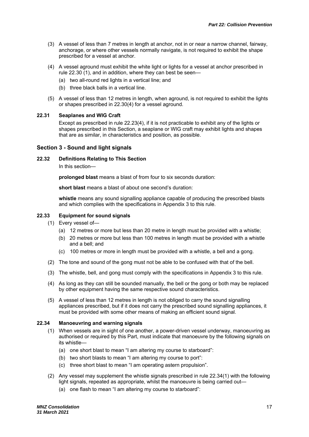- (3) A vessel of less than 7 metres in length at anchor, not in or near a narrow channel, fairway, anchorage, or where other vessels normally navigate, is not required to exhibit the shape prescribed for a vessel at anchor.
- (4) A vessel aground must exhibit the white light or lights for a vessel at anchor prescribed in rule 22.30 (1), and in addition, where they can best be seen—
	- (a) two all-round red lights in a vertical line; and
	- (b) three black balls in a vertical line.
- (5) A vessel of less than 12 metres in length, when aground, is not required to exhibit the lights or shapes prescribed in 22.30(4) for a vessel aground.

#### **22.31 Seaplanes and WIG Craft**

Except as prescribed in rule 22.23(4), if it is not practicable to exhibit any of the lights or shapes prescribed in this Section, a seaplane or WIG craft may exhibit lights and shapes that are as similar, in characteristics and position, as possible.

#### **Section 3 - Sound and light signals**

**22.32 Definitions Relating to This Section** 

In this section—

**prolonged blast** means a blast of from four to six seconds duration:

**short blast** means a blast of about one second's duration:

**whistle** means any sound signalling appliance capable of producing the prescribed blasts and which complies with the specifications in Appendix 3 to this rule.

#### **22.33 Equipment for sound signals**

- (1) Every vessel of—
	- (a) 12 metres or more but less than 20 metre in length must be provided with a whistle;
	- (b) 20 metres or more but less than 100 metres in length must be provided with a whistle and a bell; and
	- (c) 100 metres or more in length must be provided with a whistle, a bell and a gong.
- (2) The tone and sound of the gong must not be able to be confused with that of the bell.
- (3) The whistle, bell, and gong must comply with the specifications in Appendix 3 to this rule.
- (4) As long as they can still be sounded manually, the bell or the gong or both may be replaced by other equipment having the same respective sound characteristics.
- (5) A vessel of less than 12 metres in length is not obliged to carry the sound signalling appliances prescribed, but if it does not carry the prescribed sound signalling appliances, it must be provided with some other means of making an efficient sound signal.

#### **22.34 Manoeuvring and warning signals**

- (1) When vessels are in sight of one another, a power-driven vessel underway, manoeuvring as authorised or required by this Part, must indicate that manoeuvre by the following signals on its whistle—
	- (a) one short blast to mean "I am altering my course to starboard":
	- (b) two short blasts to mean "I am altering my course to port":
	- (c) three short blast to mean "I am operating astern propulsion".
- (2) Any vessel may supplement the whistle signals prescribed in rule 22.34(1) with the following light signals, repeated as appropriate, whilst the manoeuvre is being carried out—
	- (a) one flash to mean "I am altering my course to starboard":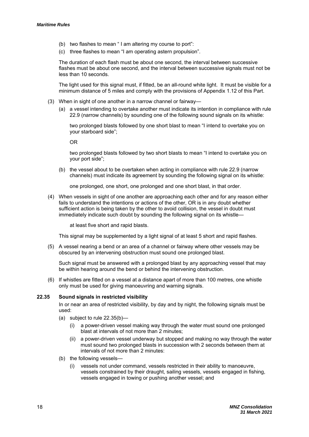- (b) two flashes to mean " I am altering my course to port":
- (c) three flashes to mean "I am operating astern propulsion".

The duration of each flash must be about one second, the interval between successive flashes must be about one second, and the interval between successive signals must not be less than 10 seconds.

The light used for this signal must, if fitted, be an all-round white light. It must be visible for a minimum distance of 5 miles and comply with the provisions of Appendix 1.12 of this Part.

- (3) When in sight of one another in a narrow channel or fairway—
	- (a) a vessel intending to overtake another must indicate its intention in compliance with rule 22.9 (narrow channels) by sounding one of the following sound signals on its whistle:

two prolonged blasts followed by one short blast to mean "I intend to overtake you on your starboard side";

OR

two prolonged blasts followed by two short blasts to mean "I intend to overtake you on your port side";

(b) the vessel about to be overtaken when acting in compliance with rule 22.9 (narrow channels) must indicate its agreement by sounding the following signal on its whistle:

one prolonged, one short, one prolonged and one short blast, in that order.

(4) When vessels in sight of one another are approaching each other and for any reason either fails to understand the intentions or actions of the other, OR is in any doubt whether sufficient action is being taken by the other to avoid collision, the vessel in doubt must immediately indicate such doubt by sounding the following signal on its whistle—

at least five short and rapid blasts.

This signal may be supplemented by a light signal of at least 5 short and rapid flashes.

(5) A vessel nearing a bend or an area of a channel or fairway where other vessels may be obscured by an intervening obstruction must sound one prolonged blast.

Such signal must be answered with a prolonged blast by any approaching vessel that may be within hearing around the bend or behind the intervening obstruction.

(6) If whistles are fitted on a vessel at a distance apart of more than 100 metres, one whistle only must be used for giving manoeuvring and warning signals.

#### **22.35 Sound signals in restricted visibility**

In or near an area of restricted visibility, by day and by night, the following signals must be used:

- (a) subject to rule 22.35(b)—
	- (i) a power-driven vessel making way through the water must sound one prolonged blast at intervals of not more than 2 minutes;
	- a power-driven vessel underway but stopped and making no way through the water must sound two prolonged blasts in succession with 2 seconds between them at intervals of not more than 2 minutes:
- (b) the following vessels—
	- (i) vessels not under command, vessels restricted in their ability to manoeuvre, vessels constrained by their draught, sailing vessels, vessels engaged in fishing, vessels engaged in towing or pushing another vessel; and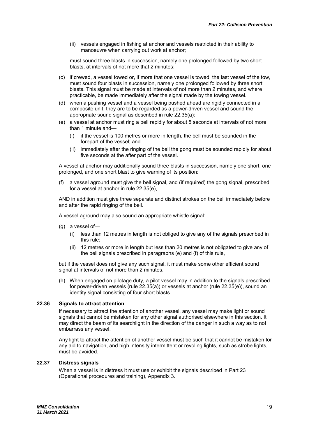(ii) vessels engaged in fishing at anchor and vessels restricted in their ability to manoeuvre when carrying out work at anchor;

must sound three blasts in succession, namely one prolonged followed by two short blasts, at intervals of not more that 2 minutes:

- (c) if crewed, a vessel towed or, if more that one vessel is towed, the last vessel of the tow, must sound four blasts in succession, namely one prolonged followed by three short blasts. This signal must be made at intervals of not more than 2 minutes, and where practicable, be made immediately after the signal made by the towing vessel.
- (d) when a pushing vessel and a vessel being pushed ahead are rigidly connected in a composite unit, they are to be regarded as a power-driven vessel and sound the appropriate sound signal as described in rule 22.35(a):
- (e) a vessel at anchor must ring a bell rapidly for about 5 seconds at intervals of not more than 1 minute and—
	- (i) if the vessel is 100 metres or more in length, the bell must be sounded in the forepart of the vessel; and
	- (ii) immediately after the ringing of the bell the gong must be sounded rapidly for about five seconds at the after part of the vessel.

A vessel at anchor may additionally sound three blasts in succession, namely one short, one prolonged, and one short blast to give warning of its position:

(f) a vessel aground must give the bell signal, and (if required) the gong signal, prescribed for a vessel at anchor in rule 22.35(e),

AND in addition must give three separate and distinct strokes on the bell immediately before and after the rapid ringing of the bell.

A vessel aground may also sound an appropriate whistle signal:

- (g) a vessel of—
	- (i) less than 12 metres in length is not obliged to give any of the signals prescribed in this rule;
	- (ii) 12 metres or more in length but less than 20 metres is not obligated to give any of the bell signals prescribed in paragraphs (e) and (f) of this rule,

but if the vessel does not give any such signal, it must make some other efficient sound signal at intervals of not more than 2 minutes.

(h) When engaged on pilotage duty, a pilot vessel may in addition to the signals prescribed for power-driven vessels (rule 22.35(a)) or vessels at anchor (rule 22.35(e)), sound an identity signal consisting of four short blasts.

#### **22.36 Signals to attract attention**

If necessary to attract the attention of another vessel, any vessel may make light or sound signals that cannot be mistaken for any other signal authorised elsewhere in this section. It may direct the beam of its searchlight in the direction of the danger in such a way as to not embarrass any vessel.

Any light to attract the attention of another vessel must be such that it cannot be mistaken for any aid to navigation, and high intensity intermittent or revoling lights, such as strobe lights, must be avoided.

#### **22.37 Distress signals**

When a vessel is in distress it must use or exhibit the signals described in Part 23 (Operational procedures and training), Appendix 3.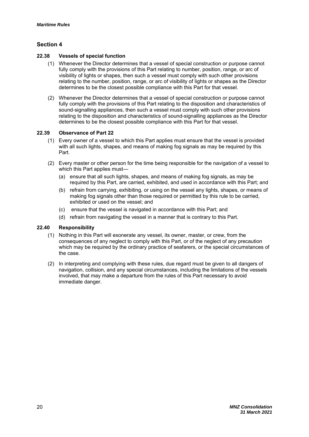#### **Section 4**

#### **22.38 Vessels of special function**

- (1) Whenever the Director determines that a vessel of special construction or purpose cannot fully comply with the provisions of this Part relating to number, position, range, or arc of visibility of lights or shapes, then such a vessel must comply with such other provisions relating to the number, position, range, or arc of visibility of lights or shapes as the Director determines to be the closest possible compliance with this Part for that vessel.
- (2) Whenever the Director determines that a vessel of special construction or purpose cannot fully comply with the provisions of this Part relating to the disposition and characteristics of sound-signalling appliances, then such a vessel must comply with such other provisions relating to the disposition and characteristics of sound-signalling appliances as the Director determines to be the closest possible compliance with this Part for that vessel.

#### **22.39 Observance of Part 22**

- (1) Every owner of a vessel to which this Part applies must ensure that the vessel is provided with all such lights, shapes, and means of making fog signals as may be required by this Part.
- (2) Every master or other person for the time being responsible for the navigation of a vessel to which this Part applies must-
	- (a) ensure that all such lights, shapes, and means of making fog signals, as may be required by this Part, are carried, exhibited, and used in accordance with this Part; and
	- (b) refrain from carrying, exhibiting, or using on the vessel any lights, shapes, or means of making fog signals other than those required or permitted by this rule to be carried, exhibited or used on the vessel; and
	- (c) ensure that the vessel is navigated in accordance with this Part; and
	- (d) refrain from navigating the vessel in a manner that is contrary to this Part.

#### **22.40 Responsibility**

- (1) Nothing in this Part will exonerate any vessel, its owner, master, or crew, from the consequences of any neglect to comply with this Part, or of the neglect of any precaution which may be required by the ordinary practice of seafarers, or the special circumstances of the case.
- (2) In interpreting and complying with these rules, due regard must be given to all dangers of navigation, collision, and any special circumstances, including the limitations of the vessels involved, that may make a departure from the rules of this Part necessary to avoid immediate danger.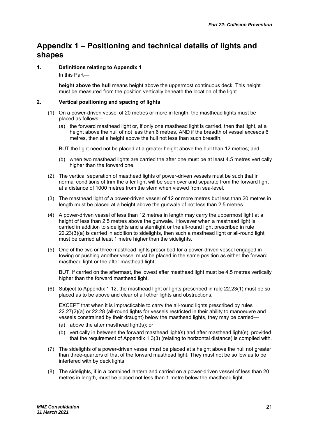### **Appendix 1 – Positioning and technical details of lights and shapes**

**1. Definitions relating to Appendix 1** 

In this Part—

**height above the hull** means height above the uppermost continuous deck. This height must be measured from the position vertically beneath the location of the light.

#### **2. Vertical positioning and spacing of lights**

- (1) On a power-driven vessel of 20 metres or more in length, the masthead lights must be placed as follows—
	- (a) the forward masthead light or, if only one masthead light is carried, then that light, at a height above the hull of not less than 6 metres, AND if the breadth of vessel exceeds 6 metres, then at a height above the hull not less than such breadth,
	- BUT the light need not be placed at a greater height above the hull than 12 metres; and
	- (b) when two masthead lights are carried the after one must be at least 4.5 metres vertically higher than the forward one.
- (2) The vertical separation of masthead lights of power-driven vessels must be such that in normal conditions of trim the after light will be seen over and separate from the forward light at a distance of 1000 metres from the stem when viewed from sea-level.
- (3) The masthead light of a power-driven vessel of 12 or more metres but less than 20 metres in length must be placed at a height above the gunwale of not less than 2.5 metres.
- (4) A power-driven vessel of less than 12 metres in length may carry the uppermost light at a height of less than 2.5 metres above the gunwale. However when a masthead light is carried in addition to sidelights and a sternlight or the all-round light prescribed in rule 22.23(3)(a) is carried in addition to sidelights, then such a masthead light or all-round light must be carried at least 1 metre higher than the sidelights.
- (5) One of the two or three masthead lights prescribed for a power-driven vessel engaged in towing or pushing another vessel must be placed in the same position as either the forward masthead light or the after masthead light,

BUT, if carried on the aftermast, the lowest after masthead light must be 4.5 metres vertically higher than the forward masthead light.

(6) Subject to Appendix 1.12, the masthead light or lights prescribed in rule 22.23(1) must be so placed as to be above and clear of all other lights and obstructions,

EXCEPT that when it is impracticable to carry the all-round lights prescribed by rules 22.27(2)(a) or 22.28 (all-round lights for vessels restricted in their ability to manoeuvre and vessels constrained by their draught) below the masthead lights, they may be carried—

- (a) above the after masthead light(s); or
- (b) vertically in between the forward masthead light(s) and after masthead light(s), provided that the requirement of Appendix 1.3(3) (relating to horizontal distance) is complied with.
- (7) The sidelights of a power-driven vessel must be placed at a height above the hull not greater than three-quarters of that of the forward masthead light. They must not be so low as to be interfered with by deck lights.
- (8) The sidelights, if in a combined lantern and carried on a power-driven vessel of less than 20 metres in length, must be placed not less than 1 metre below the masthead light.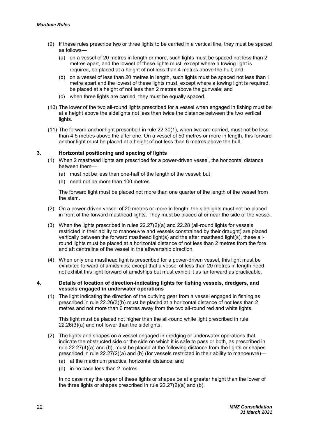- (9) If these rules prescribe two or three lights to be carried in a vertical line, they must be spaced as follows—
	- (a) on a vessel of 20 metres in length or more, such lights must be spaced not less than 2 metres apart, and the lowest of these lights must, except where a towing light is required, be placed at a height of not less than 4 metres above the hull; and
	- (b) on a vessel of less than 20 metres in length, such lights must be spaced not less than 1 metre apart and the lowest of these lights must, except where a towing light is required, be placed at a height of not less than 2 metres above the gunwale; and
	- (c) when three lights are carried, they must be equally spaced.
- (10) The lower of the two all-round lights prescribed for a vessel when engaged in fishing must be at a height above the sidelights not less than twice the distance between the two vertical lights.
- (11) The forward anchor light prescribed in rule 22.30(1), when two are carried, must not be less than 4.5 metres above the after one. On a vessel of 50 metres or more in length, this forward anchor light must be placed at a height of not less than 6 metres above the hull.

#### **3. Horizontal positioning and spacing of lights**

- (1) When 2 masthead lights are prescribed for a power-driven vessel, the horizontal distance between them—
	- (a) must not be less than one-half of the length of the vessel; but
	- (b) need not be more than 100 metres.

The forward light must be placed not more than one quarter of the length of the vessel from the stem.

- (2) On a power-driven vessel of 20 metres or more in length, the sidelights must not be placed in front of the forward masthead lights. They must be placed at or near the side of the vessel.
- (3) When the lights prescribed in rules 22.27(2)(a) and 22.28 (all-round lights for vessels restricted in their ability to manoeuvre and vessels constrained by their draught) are placed vertically between the forward masthead light(s) and the after masthead light(s), these allround lights must be placed at a horizontal distance of not less than 2 metres from the fore and aft centreline of the vessel in the athwartship direction.
- (4) When only one masthead light is prescribed for a power-driven vessel, this light must be exhibited forward of amidships; except that a vessel of less than 20 metres in length need not exhibit this light forward of amidships but must exhibit it as far forward as practicable.
- **4. Details of location of direction-indicating lights for fishing vessels, dredgers, and vessels engaged in underwater operations** 
	- (1) The light indicating the direction of the outlying gear from a vessel engaged in fishing as prescribed in rule 22.26(3)(b) must be placed at a horizontal distance of not less than 2 metres and not more than 6 metres away from the two all-round red and white lights.

This light must be placed not higher than the all-round white light prescribed in rule 22.26(3)(a) and not lower than the sidelights.

- (2) The lights and shapes on a vessel engaged in dredging or underwater operations that indicate the obstructed side or the side on which it is safe to pass or both, as prescribed in rule 22.27(4)(a) and (b), must be placed at the following distance from the lights or shapes prescribed in rule 22.27(2)(a) and (b) (for vessels restricted in their ability to manoeuvre)—
	- (a) at the maximum practical horizontal distance; and
	- (b) in no case less than 2 metres.

In no case may the upper of these lights or shapes be at a greater height than the lower of the three lights or shapes prescribed in rule  $22.27(2)(a)$  and (b).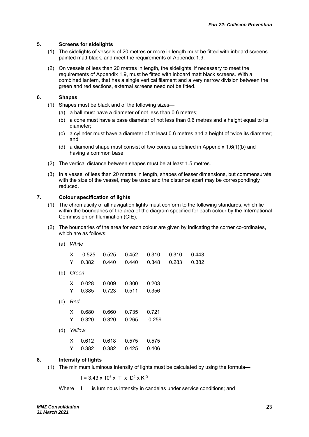#### **5. Screens for sidelights**

- (1) The sidelights of vessels of 20 metres or more in length must be fitted with inboard screens painted matt black, and meet the requirements of Appendix 1.9.
- (2) On vessels of less than 20 metres in length, the sidelights, if necessary to meet the requirements of Appendix 1.9, must be fitted with inboard matt black screens. With a combined lantern, that has a single vertical filament and a very narrow division between the green and red sections, external screens need not be fitted.

#### **6. Shapes**

- (1) Shapes must be black and of the following sizes—
	- (a) a ball must have a diameter of not less than 0.6 metres;
	- (b) a cone must have a base diameter of not less than 0.6 metres and a height equal to its diameter;
	- (c) a cylinder must have a diameter of at least 0.6 metres and a height of twice its diameter; and
	- (d) a diamond shape must consist of two cones as defined in Appendix 1.6(1)(b) and having a common base.
- (2) The vertical distance between shapes must be at least 1.5 metres.
- (3) In a vessel of less than 20 metres in length, shapes of lesser dimensions, but commensurate with the size of the vessel, may be used and the distance apart may be correspondingly reduced.

#### **7. Colour specification of lights**

- (1) The chromaticity of all navigation lights must conform to the following standards, which lie within the boundaries of the area of the diagram specified for each colour by the International Commission on Illumination (CIE).
- (2) The boundaries of the area for each colour are given by indicating the corner co-ordinates, which are as follows:

| (a) | White |
|-----|-------|
|-----|-------|

|           |                     | X 0.525 0.525 0.452 0.310 0.310 0.443 |       |       |
|-----------|---------------------|---------------------------------------|-------|-------|
|           |                     | Y  0.382  0.440  0.440  0.348  0.283  |       | 0.382 |
| (b) Green |                     |                                       |       |       |
|           | X 0.028 0.009 0.300 |                                       | 0.203 |       |
|           |                     | Y  0.385  0.723  0.511  0.356         |       |       |
| $(c)$ Red |                     |                                       |       |       |
|           |                     | Y 0.680 0.660 0.735 0.721             |       |       |

- X 0.680 0.660 0.735 0.721 Y 0.320 0.320 0.265 0.259
- (d) *Yellow*

#### **8. Intensity of lights**

(1) The minimum luminous intensity of lights must be calculated by using the formula—

 $I = 3.43 \times 10^6 \times T \times D^2 \times K^{-D}$ 

Where I is luminous intensity in candelas under service conditions; and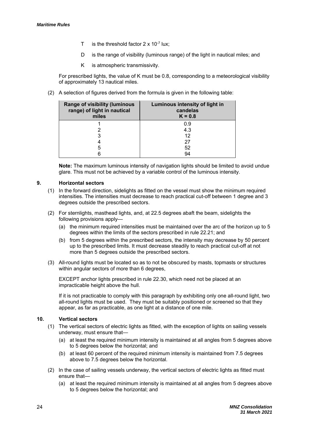- T is the threshold factor  $2 \times 10^{-7}$  lux;
- D is the range of visibility (luminous range) of the light in nautical miles; and
- K is atmospheric transmissivity.

For prescribed lights, the value of K must be 0.8, corresponding to a meteorological visibility of approximately 13 nautical miles.

(2) A selection of figures derived from the formula is given in the following table:

| <b>Range of visibility (luminous</b><br>range) of light in nautical<br>miles | Luminous intensity of light in<br>candelas<br>$K = 0.8$ |
|------------------------------------------------------------------------------|---------------------------------------------------------|
|                                                                              | 0.9                                                     |
|                                                                              | 4.3                                                     |
|                                                                              | 12                                                      |
|                                                                              | 27                                                      |
| 5                                                                            | 52                                                      |
|                                                                              | 94                                                      |

**Note:** The maximum luminous intensity of navigation lights should be limited to avoid undue glare. This must not be achieved by a variable control of the luminous intensity.

#### **9. Horizontal sectors**

- (1) In the forward direction, sidelights as fitted on the vessel must show the minimum required intensities. The intensities must decrease to reach practical cut-off between 1 degree and 3 degrees outside the prescribed sectors.
- (2) For sternlights, masthead lights, and, at 22.5 degrees abaft the beam, sidelights the following provisions apply—
	- (a) the minimum required intensities must be maintained over the arc of the horizon up to 5 degrees within the limits of the sectors prescribed in rule 22.21; and
	- (b) from 5 degrees within the prescribed sectors, the intensity may decrease by 50 percent up to the prescribed limits. It must decrease steadily to reach practical cut-off at not more than 5 degrees outside the prescribed sectors.
- (3) All-round lights must be located so as to not be obscured by masts, topmasts or structures within angular sectors of more than 6 degrees,

EXCEPT anchor lights prescribed in rule 22.30, which need not be placed at an impracticable height above the hull.

If it is not practicable to comply with this paragraph by exhibiting only one all-round light, two all-round lights must be used. They must be suitably positioned or screened so that they appear, as far as practicable, as one light at a distance of one mile.

#### **10. Vertical sectors**

- (1) The vertical sectors of electric lights as fitted, with the exception of lights on sailing vessels underway, must ensure that—
	- (a) at least the required minimum intensity is maintained at all angles from 5 degrees above to 5 degrees below the horizontal; and
	- (b) at least 60 percent of the required minimum intensity is maintained from 7.5 degrees above to 7.5 degrees below the horizontal.
- (2) In the case of sailing vessels underway, the vertical sectors of electric lights as fitted must ensure that—
	- (a) at least the required minimum intensity is maintained at all angles from 5 degrees above to 5 degrees below the horizontal; and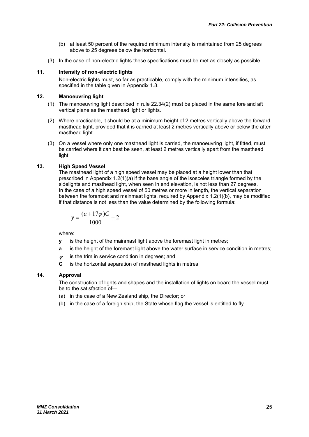- (b) at least 50 percent of the required minimum intensity is maintained from 25 degrees above to 25 degrees below the horizontal.
- (3) In the case of non-electric lights these specifications must be met as closely as possible.

#### **11. Intensity of non-electric lights**

Non-electric lights must, so far as practicable, comply with the minimum intensities, as specified in the table given in Appendix 1.8.

#### **12. Manoeuvring light**

- (1) The manoeuvring light described in rule 22.34(2) must be placed in the same fore and aft vertical plane as the masthead light or lights.
- (2) Where practicable, it should be at a minimum height of 2 metres vertically above the forward masthead light, provided that it is carried at least 2 metres vertically above or below the after masthead light.
- (3) On a vessel where only one masthead light is carried, the manoeuvring light, if fitted, must be carried where it can best be seen, at least 2 metres vertically apart from the masthead light.

#### **13. High Speed Vessel**

The masthead light of a high speed vessel may be placed at a height lower than that prescribed in Appendix 1.2(1)(a) if the base angle of the isosceles triangle formed by the sidelights and masthead light, when seen in end elevation, is not less than 27 degrees. In the case of a high speed vessel of 50 metres or more in length, the vertical separation between the foremost and mainmast lights, required by Appendix 1.2(1)(b), may be modified if that distance is not less than the value determined by the following formula:

$$
y = \frac{(a+17\psi)C}{1000} + 2
$$

where:

- **y** is the height of the mainmast light above the foremast light in metres;
- **a** is the height of the foremast light above the water surface in service condition in metres;
- is the trim in service condition in degrees; and
- **C** is the horizontal separation of masthead lights in metres

#### **14. Approval**

The construction of lights and shapes and the installation of lights on board the vessel must be to the satisfaction of—

- (a) in the case of a New Zealand ship, the Director; or
- (b) in the case of a foreign ship, the State whose flag the vessel is entitled to fly.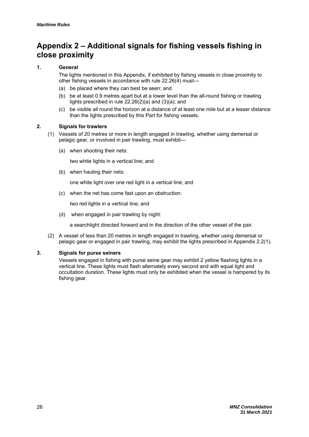## **Appendix 2 – Additional signals for fishing vessels fishing in close proximity**

#### **1. General**

The lights mentioned in this Appendix, if exhibited by fishing vessels in close proximity to other fishing vessels in accordance with rule 22.26(4) must—

- (a) be placed where they can best be seen; and
- (b) be at least 0.9 metres apart but at a lower level than the all-round fishing or trawling lights prescribed in rule 22.26(2)(a) and (3)(a); and
- (c) be visible all round the horizon at a distance of at least one mile but at a lesser distance than the lights prescribed by this Part for fishing vessels.

#### **2. Signals for trawlers**

- (1) Vessels of 20 metres or more in length engaged in trawling, whether using demersal or pelagic gear, or involved in pair trawling, must exhibit—
	- (a) when shooting their nets:

two white lights in a vertical line; and

(b) when hauling their nets:

one white light over one red light in a vertical line; and

(c) when the net has come fast upon an obstruction:

two red lights in a vertical line; and

(d) when engaged in pair trawling by night:

a searchlight directed forward and in the direction of the other vessel of the pair.

(2) A vessel of less than 20 metres in length engaged in trawling, whether using demersal or pelagic gear or engaged in pair trawling, may exhibit the lights prescribed in Appendix 2.2(1).

#### **3. Signals for purse seiners**

Vessels engaged in fishing with purse seine gear may exhibit 2 yellow flashing lights in a vertical line. These lights must flash alternately every second and with equal light and occultation duration. These lights must only be exhibited when the vessel is hampered by its fishing gear.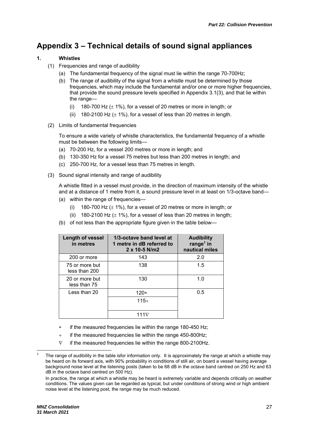## **Appendix 3 – Technical details of sound signal appliances**

#### **1. Whistles**

- (1) Frequencies and range of audibility
	- (a) The fundamental frequency of the signal must lie within the range 70-700Hz;
	- (b) The range of audibility of the signal from a whistle must be determined by those frequencies, which may include the fundamental and/or one or more higher frequencies, that provide the sound pressure levels specified in Appendix 3.1(3), and that lie within the range—
		- (i) 180-700 Hz  $(\pm 1\%)$ , for a vessel of 20 metres or more in length; or
		- (ii) 180-2100 Hz  $(\pm 1\%)$ , for a vessel of less than 20 metres in length.
- (2) Limits of fundamental frequencies

To ensure a wide variety of whistle characteristics, the fundamental frequency of a whistle must be between the following limits—

- (a) 70-200 Hz, for a vessel 200 metres or more in length; and
- (b) 130-350 Hz for a vessel 75 metres but less than 200 metres in length; and
- (c) 250-700 Hz, for a vessel less than 75 metres in length.
- (3) Sound signal intensity and range of audibility

A whistle fitted in a vessel must provide, in the direction of maximum intensity of the whistle and at a distance of 1 metre from it, a sound pressure level in at least on 1/3-octave band—

- (a) within the range of frequencies—
	- (i) 180-700 Hz  $(\pm 1\%)$ , for a vessel of 20 metres or more in length; or
	- (ii) 180-2100 Hz  $(\pm 1\%)$ , for a vessel of less than 20 metres in length;
- (b) of not less than the appropriate figure given in the table below—

| Length of vessel<br>in metres   | 1/3-octave band level at<br>1 metre in dB referred to<br>2 x 10-5 N/m2 | <b>Audibility</b><br>range <sup>1</sup> in<br>nautical miles |
|---------------------------------|------------------------------------------------------------------------|--------------------------------------------------------------|
| 200 or more                     | 143                                                                    | 2.0                                                          |
| 75 or more but<br>less than 200 | 138                                                                    | 1.5                                                          |
| 20 or more but<br>less than 75  | 130                                                                    | 1.0                                                          |
| Less than $20$                  | $120*$                                                                 | 0.5                                                          |
|                                 | $115+$                                                                 |                                                              |
|                                 | 111⊽                                                                   |                                                              |

- if the measured frequencies lie within the range 180-450 Hz;
- $+$  if the measured frequencies lie within the range 450-800Hz;
- $\nabla$  if the measured frequencies lie within the range 800-2100Hz.

1

<sup>1</sup> The range of audibility in the table isfor information only. It is approximately the range at which a whistle may be heard on its forward axis, with 90% probability in conditions of still air, on board a vessel having average background noise level at the listening posts (taken to be 68 dB in the octave band centred on 250 Hz and 63 dB in the octave band centred on 500 Hz).

In practice, the range at which a whistle may be heard is extremely variable and depends critically on weather conditions. The values given can be regarded as typical, but under conditions of strong wind or high ambient noise level at the listening post, the range may be much reduced.